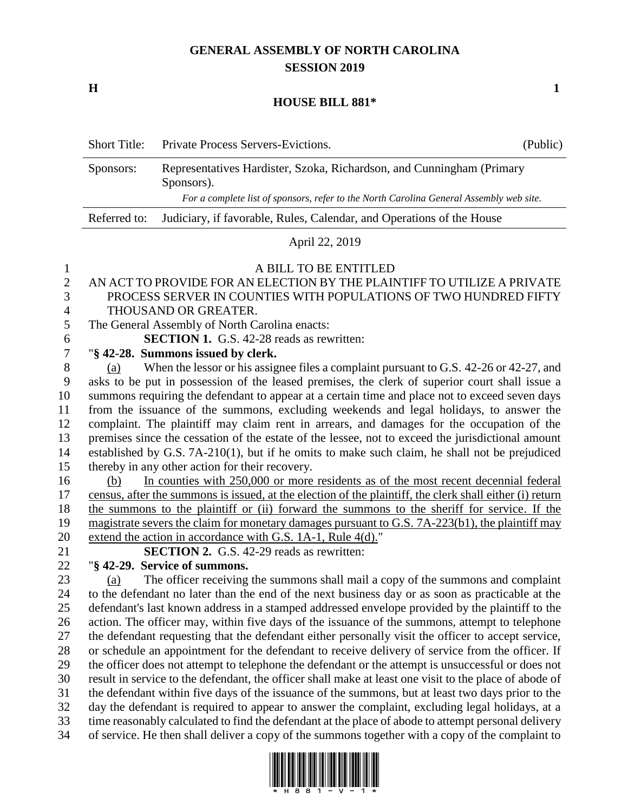# **GENERAL ASSEMBLY OF NORTH CAROLINA SESSION 2019**

**H 1**

#### **HOUSE BILL 881\***

| <b>Short Title:</b> | <b>Private Process Servers-Evictions.</b>                                                                                                                                      | (Public) |
|---------------------|--------------------------------------------------------------------------------------------------------------------------------------------------------------------------------|----------|
| Sponsors:           | Representatives Hardister, Szoka, Richardson, and Cunningham (Primary<br>Sponsors).<br>For a complete list of sponsors, refer to the North Carolina General Assembly web site. |          |
| Referred to:        | Judiciary, if favorable, Rules, Calendar, and Operations of the House                                                                                                          |          |

## April 22, 2019

#### A BILL TO BE ENTITLED

# AN ACT TO PROVIDE FOR AN ELECTION BY THE PLAINTIFF TO UTILIZE A PRIVATE PROCESS SERVER IN COUNTIES WITH POPULATIONS OF TWO HUNDRED FIFTY THOUSAND OR GREATER.

- The General Assembly of North Carolina enacts:
- **SECTION 1.** G.S. 42-28 reads as rewritten:

## "**§ 42-28. Summons issued by clerk.**

 (a) When the lessor or his assignee files a complaint pursuant to G.S. 42-26 or 42-27, and asks to be put in possession of the leased premises, the clerk of superior court shall issue a summons requiring the defendant to appear at a certain time and place not to exceed seven days from the issuance of the summons, excluding weekends and legal holidays, to answer the complaint. The plaintiff may claim rent in arrears, and damages for the occupation of the premises since the cessation of the estate of the lessee, not to exceed the jurisdictional amount established by G.S. 7A-210(1), but if he omits to make such claim, he shall not be prejudiced thereby in any other action for their recovery.

 (b) In counties with 250,000 or more residents as of the most recent decennial federal census, after the summons is issued, at the election of the plaintiff, the clerk shall either (i) return the summons to the plaintiff or (ii) forward the summons to the sheriff for service. If the 19 magistrate severs the claim for monetary damages pursuant to G.S. 7A-223(b1), the plaintiff may extend the action in accordance with G.S. 1A-1, Rule 4(d)."

**SECTION 2.** G.S. 42-29 reads as rewritten:

"**§ 42-29. Service of summons.**

 (a) The officer receiving the summons shall mail a copy of the summons and complaint to the defendant no later than the end of the next business day or as soon as practicable at the defendant's last known address in a stamped addressed envelope provided by the plaintiff to the action. The officer may, within five days of the issuance of the summons, attempt to telephone the defendant requesting that the defendant either personally visit the officer to accept service, or schedule an appointment for the defendant to receive delivery of service from the officer. If the officer does not attempt to telephone the defendant or the attempt is unsuccessful or does not result in service to the defendant, the officer shall make at least one visit to the place of abode of the defendant within five days of the issuance of the summons, but at least two days prior to the day the defendant is required to appear to answer the complaint, excluding legal holidays, at a time reasonably calculated to find the defendant at the place of abode to attempt personal delivery of service. He then shall deliver a copy of the summons together with a copy of the complaint to